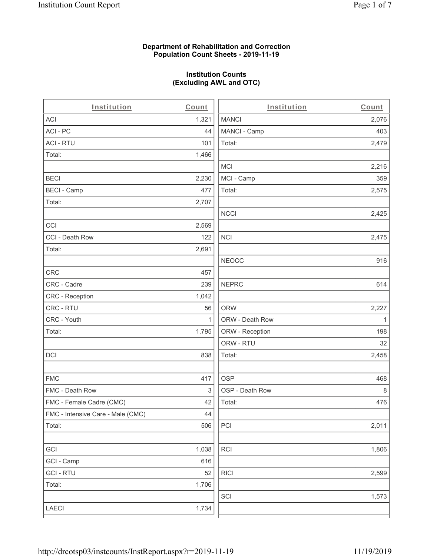### **Department of Rehabilitation and Correction Population Count Sheets - 2019-11-19**

# **Institution Counts (Excluding AWL and OTC)**

 $\overline{a}$ 

| Institution                       | Count | Institution     | Count        |
|-----------------------------------|-------|-----------------|--------------|
| ACI                               | 1,321 | <b>MANCI</b>    | 2,076        |
| ACI-PC                            | 44    | MANCI - Camp    | 403          |
| <b>ACI - RTU</b>                  | 101   | Total:          | 2,479        |
| Total:                            | 1,466 |                 |              |
|                                   |       | <b>MCI</b>      | 2,216        |
| <b>BECI</b>                       | 2,230 | MCI - Camp      | 359          |
| <b>BECI - Camp</b>                | 477   | Total:          | 2,575        |
| Total:                            | 2,707 |                 |              |
|                                   |       | <b>NCCI</b>     | 2,425        |
| CCI                               | 2,569 |                 |              |
| CCI - Death Row                   | 122   | <b>NCI</b>      | 2,475        |
| Total:                            | 2,691 |                 |              |
|                                   |       | <b>NEOCC</b>    | 916          |
| <b>CRC</b>                        | 457   |                 |              |
| CRC - Cadre                       | 239   | <b>NEPRC</b>    | 614          |
| <b>CRC</b> - Reception            | 1,042 |                 |              |
| CRC - RTU                         | 56    | <b>ORW</b>      | 2,227        |
| CRC - Youth                       | 1     | ORW - Death Row | $\mathbf{1}$ |
| Total:                            | 1,795 | ORW - Reception | 198          |
|                                   |       | ORW - RTU       | 32           |
| DCI                               | 838   | Total:          | 2,458        |
| <b>FMC</b>                        | 417   | <b>OSP</b>      | 468          |
| FMC - Death Row                   | 3     | OSP - Death Row | 8            |
| FMC - Female Cadre (CMC)          | 42    | Total:          | 476          |
| FMC - Intensive Care - Male (CMC) | 44    |                 |              |
| Total:                            | 506   | PCI             | 2,011        |
| GCI                               | 1,038 | <b>RCI</b>      | 1,806        |
| GCI - Camp                        | 616   |                 |              |
| <b>GCI-RTU</b>                    | 52    | <b>RICI</b>     | 2,599        |
| Total:                            | 1,706 |                 |              |
|                                   |       | SCI             | 1,573        |
| LAECI                             | 1,734 |                 |              |
|                                   |       |                 |              |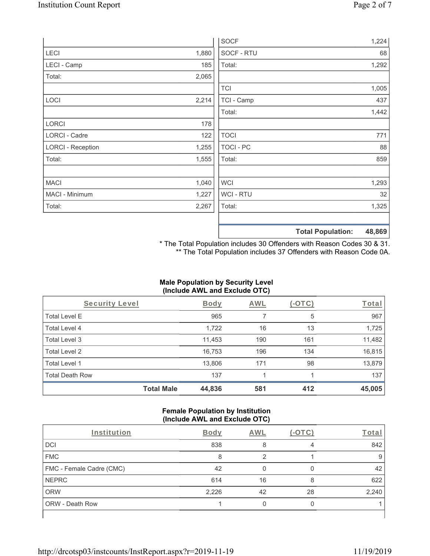|                          |       |                | 48,869<br><b>Total Population:</b> |
|--------------------------|-------|----------------|------------------------------------|
|                          |       |                |                                    |
| Total:                   | 2,267 | Total:         | 1,325                              |
| MACI - Minimum           | 1,227 | <b>WCI-RTU</b> | 32                                 |
| <b>MACI</b>              | 1,040 | <b>WCI</b>     | 1,293                              |
|                          |       |                |                                    |
| Total:                   | 1,555 | Total:         | 859                                |
| <b>LORCI - Reception</b> | 1,255 | TOCI - PC      | 88                                 |
| LORCI - Cadre            | 122   | <b>TOCI</b>    | 771                                |
| LORCI                    | 178   |                |                                    |
|                          |       | Total:         | 1,442                              |
| LOCI                     | 2,214 | TCI - Camp     | 437                                |
|                          |       | <b>TCI</b>     | 1,005                              |
| Total:                   | 2,065 |                |                                    |
| LECI - Camp              | 185   | Total:         | 1,292                              |
| <b>LECI</b>              | 1,880 | SOCF - RTU     | 68                                 |
|                          |       | <b>SOCF</b>    | 1,224                              |

\* The Total Population includes 30 Offenders with Reason Codes 30 & 31. \*\* The Total Population includes 37 Offenders with Reason Code 0A.

# **Male Population by Security Level (Include AWL and Exclude OTC)**

| Security Level         | Body                        | AWL | (-OTC) | Total  |
|------------------------|-----------------------------|-----|--------|--------|
| <b>Total Level E</b>   | 965                         | 7   | 5      | 967    |
| <b>Total Level 4</b>   | 1,722                       | 16  | 13     | 1,725  |
| Total Level 3          | 11,453                      | 190 | 161    | 11,482 |
| Total Level 2          | 16,753                      | 196 | 134    | 16,815 |
| Total Level 1          | 13,806                      | 171 | 98     | 13,879 |
| <b>Total Death Row</b> | 137                         |     |        | 137    |
|                        | <b>Total Male</b><br>44,836 | 581 | 412    | 45,005 |

### **Female Population by Institution (Include AWL and Exclude OTC)**

| Institution              | <b>Body</b> | <b>AWL</b> | $-()$ | Total |
|--------------------------|-------------|------------|-------|-------|
| <b>DCI</b>               | 838         |            | 4     | 842   |
| <b>FMC</b>               | 8           |            |       | 9     |
| FMC - Female Cadre (CMC) | 42          |            |       | 42    |
| <b>NEPRC</b>             | 614         | 16         | 8     | 622   |
| <b>ORW</b>               | 2,226       | 42         | 28    | 2,240 |
| <b>ORW - Death Row</b>   |             |            |       |       |
|                          |             |            |       |       |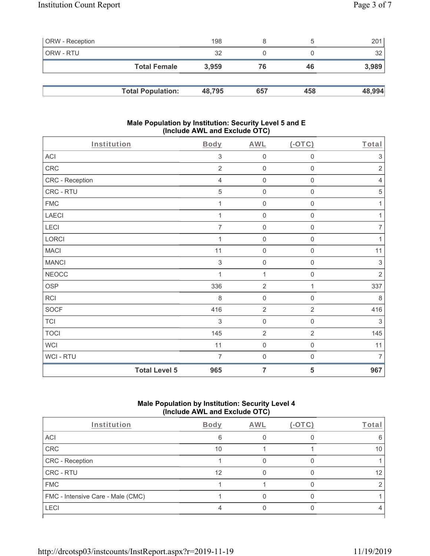| <b>ORW</b> - Reception |                          | 198    |     |     | 201    |
|------------------------|--------------------------|--------|-----|-----|--------|
| ORW - RTU              |                          | 32     |     |     | 32     |
|                        | <b>Total Female</b>      | 3.959  | 76  | 46  | 3,989  |
|                        |                          |        |     |     |        |
|                        | <b>Total Population:</b> | 48,795 | 657 | 458 | 48,994 |

#### **Male Population by Institution: Security Level 5 and E (Include AWL and Exclude OTC)**

| Institution          | Body           | <b>AWL</b>          | $($ -OTC $)$        | Total          |
|----------------------|----------------|---------------------|---------------------|----------------|
| ACI                  | 3              | $\mathsf{O}\xspace$ | $\mathsf{O}\xspace$ | $\mathsf 3$    |
| CRC                  | $\overline{2}$ | $\mathbf 0$         | $\mathsf{O}\xspace$ | $\overline{2}$ |
| CRC - Reception      | $\overline{4}$ | $\mathsf{O}\xspace$ | $\mathbf 0$         | $\overline{4}$ |
| CRC - RTU            | 5              | $\mathsf{O}\xspace$ | $\mathsf{O}\xspace$ | 5              |
| <b>FMC</b>           |                | $\mathsf{O}\xspace$ | $\mathsf 0$         | 1              |
| LAECI                | 1              | $\mathsf{O}\xspace$ | $\mathsf{O}\xspace$ | 1              |
| LECI                 | $\overline{7}$ | $\mathbf 0$         | 0                   | $\overline{7}$ |
| LORCI                | 1              | $\mathsf{O}\xspace$ | $\mathsf{O}\xspace$ | 1              |
| <b>MACI</b>          | 11             | $\mathsf 0$         | $\mathbf 0$         | 11             |
| <b>MANCI</b>         | 3              | $\mathsf{O}\xspace$ | $\boldsymbol{0}$    | $\mathsf 3$    |
| <b>NEOCC</b>         |                | 1                   | $\mathsf{O}\xspace$ | $\sqrt{2}$     |
| <b>OSP</b>           | 336            | $\overline{2}$      | 1                   | 337            |
| <b>RCI</b>           | $\,8\,$        | $\mathsf{O}\xspace$ | $\mathsf{O}\xspace$ | 8              |
| <b>SOCF</b>          | 416            | $\overline{2}$      | $\overline{2}$      | 416            |
| TCI                  | $\sqrt{3}$     | $\mathsf{O}\xspace$ | $\mathbf 0$         | $\sqrt{3}$     |
| <b>TOCI</b>          | 145            | $\sqrt{2}$          | $\sqrt{2}$          | 145            |
| <b>WCI</b>           | 11             | $\mathsf{O}\xspace$ | $\mathsf{O}\xspace$ | 11             |
| WCI - RTU            | 7              | $\mathbf 0$         | $\boldsymbol{0}$    | 7              |
| <b>Total Level 5</b> | 965            | $\overline{7}$      | 5                   | 967            |

# **Male Population by Institution: Security Level 4 (Include AWL and Exclude OTC)**

| <b>Body</b> | AWL | $(-OTC)$ | Total |
|-------------|-----|----------|-------|
| 6           |     |          |       |
| 10          |     |          | 10    |
|             |     |          |       |
| 12          |     |          | 12    |
|             |     |          |       |
|             |     |          |       |
|             |     |          |       |
|             |     |          |       |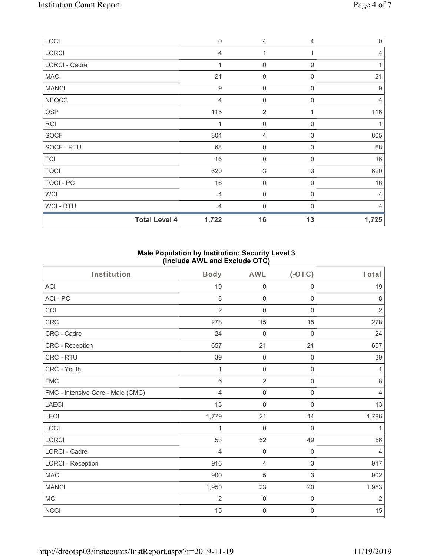| LOCI          | $\mathbf 0$                   | 4                   | $\overline{4}$ | $\overline{0}$   |
|---------------|-------------------------------|---------------------|----------------|------------------|
| LORCI         | $\overline{4}$                | 1                   | 1              | $\overline{4}$   |
| LORCI - Cadre | 1                             | $\boldsymbol{0}$    | 0              |                  |
| <b>MACI</b>   | 21                            | 0                   | $\mathbf 0$    | 21               |
| <b>MANCI</b>  | $\boldsymbol{9}$              | $\mathsf{O}\xspace$ | $\mathbf 0$    | $\boldsymbol{9}$ |
| <b>NEOCC</b>  | $\overline{4}$                | 0                   | $\mathbf 0$    | $\overline{4}$   |
| <b>OSP</b>    | 115                           | $\overline{2}$      |                | 116              |
| RCI           | 1                             | $\mathsf{O}\xspace$ | $\mathbf 0$    | 1                |
| <b>SOCF</b>   | 804                           | 4                   | 3              | 805              |
| SOCF - RTU    | 68                            | $\mathsf{O}\xspace$ | $\mathbf 0$    | 68               |
| <b>TCI</b>    | 16                            | $\mathsf{O}\xspace$ | $\mathbf 0$    | 16               |
| <b>TOCI</b>   | 620                           | 3                   | $\sqrt{3}$     | 620              |
| TOCI - PC     | 16                            | $\mathsf{O}\xspace$ | $\mathbf 0$    | 16               |
| <b>WCI</b>    | $\overline{4}$                | $\mathsf{O}\xspace$ | $\overline{0}$ | $\overline{4}$   |
| WCI - RTU     | $\overline{4}$                | 0                   | $\Omega$       | $\overline{4}$   |
|               | <b>Total Level 4</b><br>1,722 | 16                  | 13             | 1,725            |

## **Male Population by Institution: Security Level 3 (Include AWL and Exclude OTC)**

| Institution                       | Body           | <b>AWL</b>          | $($ -OTC $)$        | Total          |
|-----------------------------------|----------------|---------------------|---------------------|----------------|
| <b>ACI</b>                        | 19             | $\mathsf{O}\xspace$ | $\mathsf{O}\xspace$ | 19             |
| ACI-PC                            | 8              | $\mathsf{O}\xspace$ | $\mathbf 0$         | $\,8\,$        |
| CCI                               | $\overline{2}$ | $\mathbf 0$         | $\mathbf 0$         | $\sqrt{2}$     |
| <b>CRC</b>                        | 278            | 15                  | 15                  | 278            |
| CRC - Cadre                       | 24             | $\mathbf 0$         | $\mathbf 0$         | 24             |
| CRC - Reception                   | 657            | 21                  | 21                  | 657            |
| CRC - RTU                         | 39             | $\mathbf 0$         | $\mathbf 0$         | 39             |
| CRC - Youth                       | 1              | $\mathsf{O}\xspace$ | $\mathbf 0$         | 1              |
| <b>FMC</b>                        | 6              | $\overline{2}$      | $\mathbf 0$         | 8              |
| FMC - Intensive Care - Male (CMC) | 4              | $\mathsf{O}\xspace$ | $\mathsf{O}\xspace$ | $\overline{4}$ |
| <b>LAECI</b>                      | 13             | $\mathsf{O}\xspace$ | $\mathsf{O}\xspace$ | 13             |
| <b>LECI</b>                       | 1,779          | 21                  | 14                  | 1,786          |
| LOCI                              | 1              | $\mathbf 0$         | $\mathbf 0$         | 1              |
| LORCI                             | 53             | 52                  | 49                  | 56             |
| <b>LORCI - Cadre</b>              | 4              | $\mathbf 0$         | $\mathsf{O}\xspace$ | $\overline{4}$ |
| <b>LORCI - Reception</b>          | 916            | $\overline{4}$      | 3                   | 917            |
| <b>MACI</b>                       | 900            | 5                   | $\sqrt{3}$          | 902            |
| <b>MANCI</b>                      | 1,950          | 23                  | 20                  | 1,953          |
| MCI                               | $\overline{2}$ | $\mathsf{O}\xspace$ | $\mathsf{O}\xspace$ | $\overline{2}$ |
| <b>NCCI</b>                       | 15             | $\mathbf 0$         | $\boldsymbol{0}$    | 15             |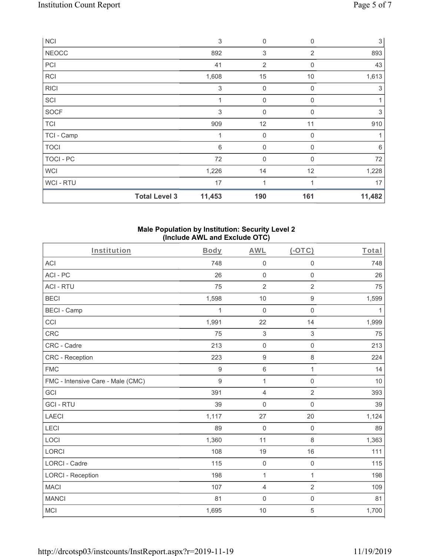| <b>NCI</b>       |                      | $\ensuremath{\mathsf{3}}$ | $\mathbf 0$    | $\mathbf 0$ | $\mathsf 3$ |
|------------------|----------------------|---------------------------|----------------|-------------|-------------|
| <b>NEOCC</b>     |                      | 892                       | 3              | 2           | 893         |
| PCI              |                      | 41                        | $\overline{2}$ | $\mathbf 0$ | 43          |
| <b>RCI</b>       |                      | 1,608                     | 15             | 10          | 1,613       |
| <b>RICI</b>      |                      | 3                         | $\mathbf 0$    | $\mathbf 0$ | 3           |
| SCI              |                      | 1                         | $\mathbf 0$    | $\mathbf 0$ | 1           |
| SOCF             |                      | 3                         | 0              | $\mathbf 0$ | 3           |
| <b>TCI</b>       |                      | 909                       | 12             | 11          | 910         |
| TCI - Camp       |                      | 1                         | $\mathbf 0$    | 0           |             |
| <b>TOCI</b>      |                      | $6\phantom{1}6$           | $\mathbf 0$    | $\Omega$    | 6           |
| <b>TOCI - PC</b> |                      | 72                        | $\mathbf 0$    | $\Omega$    | 72          |
| <b>WCI</b>       |                      | 1,226                     | 14             | 12          | 1,228       |
| WCI-RTU          |                      | 17                        | 1              |             | 17          |
|                  | <b>Total Level 3</b> | 11,453                    | 190            | 161         | 11,482      |

## **Male Population by Institution: Security Level 2 (Include AWL and Exclude OTC)**

| Institution                       | Body  | <b>AWL</b>          | $(-OTC)$            | Total |
|-----------------------------------|-------|---------------------|---------------------|-------|
| <b>ACI</b>                        | 748   | $\mathbf 0$         | $\mathbf 0$         | 748   |
| ACI-PC                            | 26    | $\mathbf 0$         | $\mathbf 0$         | 26    |
| <b>ACI - RTU</b>                  | 75    | $\overline{2}$      | $\overline{2}$      | 75    |
| <b>BECI</b>                       | 1,598 | 10                  | $\boldsymbol{9}$    | 1,599 |
| <b>BECI - Camp</b>                | 1     | $\mathbf 0$         | $\mathbf 0$         | 1     |
| CCI                               | 1,991 | 22                  | 14                  | 1,999 |
| CRC                               | 75    | $\mathbf{3}$        | 3                   | 75    |
| CRC - Cadre                       | 213   | $\mathbf 0$         | $\mathbf 0$         | 213   |
| CRC - Reception                   | 223   | $\boldsymbol{9}$    | $\,8\,$             | 224   |
| <b>FMC</b>                        | 9     | $\,6\,$             | 1                   | 14    |
| FMC - Intensive Care - Male (CMC) | 9     | 1                   | $\mathbf 0$         | 10    |
| GCI                               | 391   | $\overline{4}$      | $\overline{2}$      | 393   |
| <b>GCI-RTU</b>                    | 39    | $\mathbf 0$         | $\mathbf 0$         | 39    |
| <b>LAECI</b>                      | 1,117 | 27                  | 20                  | 1,124 |
| <b>LECI</b>                       | 89    | $\boldsymbol{0}$    | $\mathbf 0$         | 89    |
| LOCI                              | 1,360 | 11                  | $\,8\,$             | 1,363 |
| <b>LORCI</b>                      | 108   | 19                  | 16                  | 111   |
| <b>LORCI - Cadre</b>              | 115   | $\mathbf 0$         | $\mathbf 0$         | 115   |
| <b>LORCI - Reception</b>          | 198   | $\mathbf 1$         | $\mathbf{1}$        | 198   |
| <b>MACI</b>                       | 107   | $\overline{4}$      | $\overline{2}$      | 109   |
| <b>MANCI</b>                      | 81    | $\mathsf{O}\xspace$ | $\mathsf{O}\xspace$ | 81    |
| <b>MCI</b>                        | 1,695 | 10                  | 5                   | 1,700 |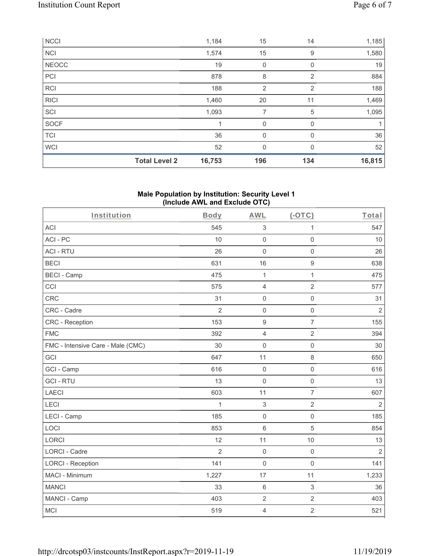|              | <b>Total Level 2</b> | 16,753 | 196         | 134      | 16,815 |
|--------------|----------------------|--------|-------------|----------|--------|
| <b>WCI</b>   |                      | 52     | 0           | 0        | 52     |
| <b>TCI</b>   |                      | 36     | $\mathbf 0$ | $\Omega$ | 36     |
| SOCF         |                      |        | $\mathbf 0$ | 0        |        |
| SCI          |                      | 1,093  | 7           | 5        | 1,095  |
| <b>RICI</b>  |                      | 1,460  | 20          | 11       | 1,469  |
| <b>RCI</b>   |                      | 188    | 2           | 2        | 188    |
| PCI          |                      | 878    | 8           | 2        | 884    |
| <b>NEOCC</b> |                      | 19     | 0           | 0        | 19     |
| <b>NCI</b>   |                      | 1,574  | 15          | 9        | 1,580  |
| <b>NCCI</b>  |                      | 1,184  | 15          | 14       | 1,185  |

### **Male Population by Institution: Security Level 1 (Include AWL and Exclude OTC)**

| Institution                       | Body           | <b>AWL</b>          | $(-OTC)$            | Total          |
|-----------------------------------|----------------|---------------------|---------------------|----------------|
| <b>ACI</b>                        | 545            | $\sqrt{3}$          | 1                   | 547            |
| ACI-PC                            | 10             | $\mathbf 0$         | $\mathbf 0$         | 10             |
| <b>ACI - RTU</b>                  | 26             | $\mathbf 0$         | $\mathbf 0$         | 26             |
| <b>BECI</b>                       | 631            | 16                  | $\boldsymbol{9}$    | 638            |
| <b>BECI - Camp</b>                | 475            | 1                   | $\mathbf{1}$        | 475            |
| CCI                               | 575            | $\overline{4}$      | $\overline{2}$      | 577            |
| CRC                               | 31             | $\mathbf 0$         | $\mathsf 0$         | 31             |
| CRC - Cadre                       | $\overline{2}$ | $\mathbf 0$         | $\mathsf{O}\xspace$ | $\sqrt{2}$     |
| CRC - Reception                   | 153            | $\boldsymbol{9}$    | $\overline{7}$      | 155            |
| <b>FMC</b>                        | 392            | $\overline{4}$      | $\overline{2}$      | 394            |
| FMC - Intensive Care - Male (CMC) | 30             | $\mathsf{O}\xspace$ | $\mathsf 0$         | 30             |
| GCI                               | 647            | 11                  | $\,8\,$             | 650            |
| GCI - Camp                        | 616            | $\mathbf 0$         | $\mathsf{O}\xspace$ | 616            |
| <b>GCI-RTU</b>                    | 13             | $\mathbf 0$         | $\mathsf 0$         | 13             |
| <b>LAECI</b>                      | 603            | 11                  | $\overline{7}$      | 607            |
| LECI                              | $\mathbf{1}$   | 3                   | $\overline{2}$      | $\overline{2}$ |
| LECI - Camp                       | 185            | $\mathbf 0$         | $\mathsf{O}\xspace$ | 185            |
| LOCI                              | 853            | $6\phantom{1}$      | 5                   | 854            |
| <b>LORCI</b>                      | 12             | 11                  | 10                  | 13             |
| <b>LORCI - Cadre</b>              | $\overline{2}$ | $\mathsf{O}\xspace$ | $\mathsf{O}\xspace$ | $\sqrt{2}$     |
| <b>LORCI - Reception</b>          | 141            | $\mathbf 0$         | $\mathbf 0$         | 141            |
| MACI - Minimum                    | 1,227          | 17                  | 11                  | 1,233          |
| <b>MANCI</b>                      | 33             | $\,$ 6 $\,$         | $\mathfrak{S}$      | 36             |
| MANCI - Camp                      | 403            | $\sqrt{2}$          | $\overline{2}$      | 403            |
| MCI                               | 519            | $\overline{4}$      | $\overline{2}$      | 521            |